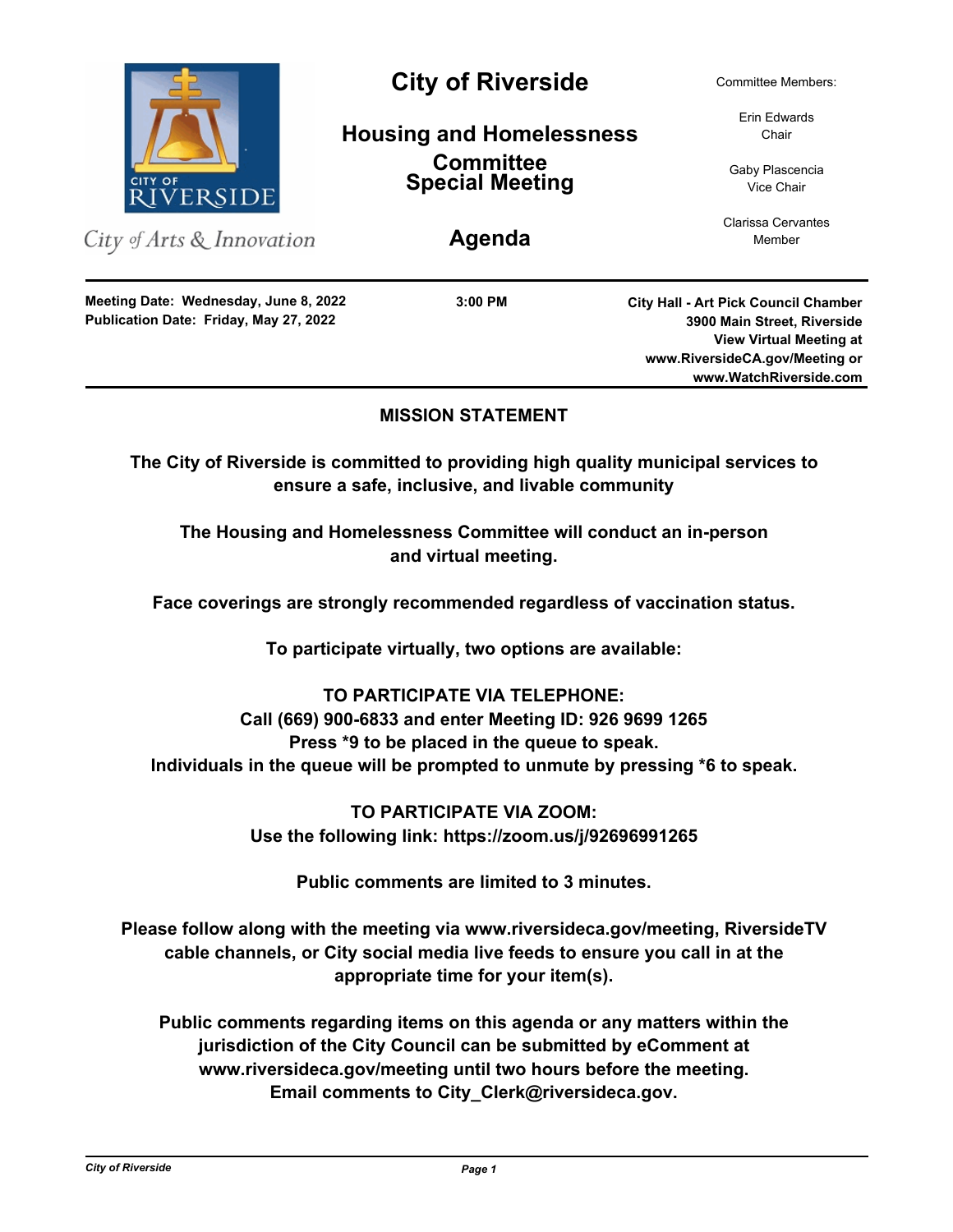

## **MISSION STATEMENT**

**The City of Riverside is committed to providing high quality municipal services to ensure a safe, inclusive, and livable community**

**The Housing and Homelessness Committee will conduct an in-person and virtual meeting.**

**Face coverings are strongly recommended regardless of vaccination status.**

**To participate virtually, two options are available:**

# **TO PARTICIPATE VIA TELEPHONE: Call (669) 900-6833 and enter Meeting ID: 926 9699 1265 Press \*9 to be placed in the queue to speak. Individuals in the queue will be prompted to unmute by pressing \*6 to speak.**

**TO PARTICIPATE VIA ZOOM: Use the following link: https://zoom.us/j/92696991265**

**Public comments are limited to 3 minutes.**

**Please follow along with the meeting via www.riversideca.gov/meeting, RiversideTV cable channels, or City social media live feeds to ensure you call in at the appropriate time for your item(s).**

**Public comments regarding items on this agenda or any matters within the jurisdiction of the City Council can be submitted by eComment at www.riversideca.gov/meeting until two hours before the meeting. Email comments to City\_Clerk@riversideca.gov.**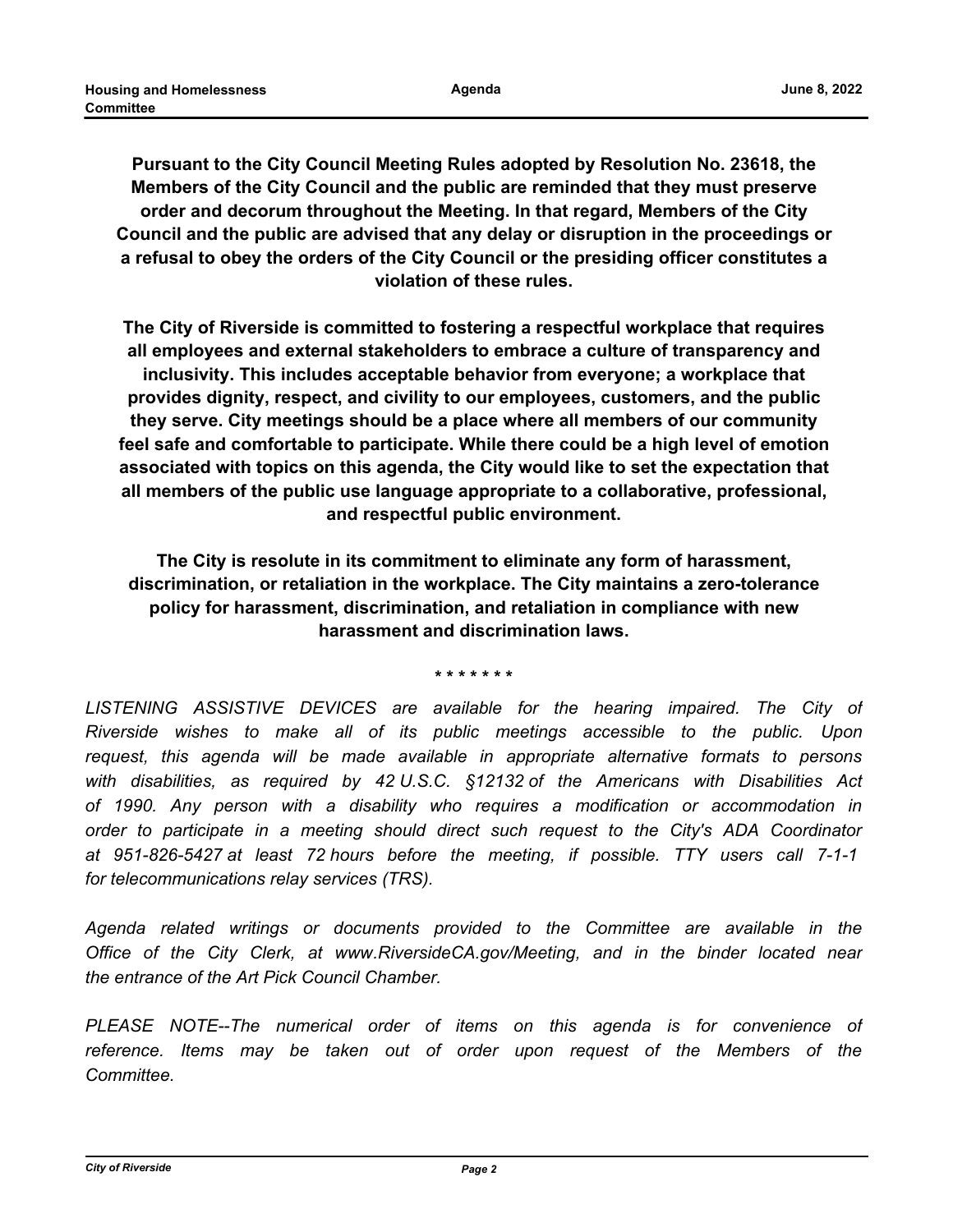**Pursuant to the City Council Meeting Rules adopted by Resolution No. 23618, the Members of the City Council and the public are reminded that they must preserve order and decorum throughout the Meeting. In that regard, Members of the City Council and the public are advised that any delay or disruption in the proceedings or a refusal to obey the orders of the City Council or the presiding officer constitutes a violation of these rules.**

**The City of Riverside is committed to fostering a respectful workplace that requires all employees and external stakeholders to embrace a culture of transparency and inclusivity. This includes acceptable behavior from everyone; a workplace that provides dignity, respect, and civility to our employees, customers, and the public they serve. City meetings should be a place where all members of our community feel safe and comfortable to participate. While there could be a high level of emotion associated with topics on this agenda, the City would like to set the expectation that all members of the public use language appropriate to a collaborative, professional, and respectful public environment.**

**The City is resolute in its commitment to eliminate any form of harassment, discrimination, or retaliation in the workplace. The City maintains a zero-tolerance policy for harassment, discrimination, and retaliation in compliance with new harassment and discrimination laws.**

**\* \* \* \* \* \* \***

LISTENING ASSISTIVE DEVICES are available for the hearing impaired. The City of *Riverside wishes to make all of its public meetings accessible to the public. Upon request, this agenda will be made available in appropriate alternative formats to persons with disabilities, as required by 42 U.S.C. §12132 of the Americans with Disabilities Act of 1990. Any person with a disability who requires a modification or accommodation in order to participate in a meeting should direct such request to the City's ADA Coordinator at 951-826-5427 at least 72 hours before the meeting, if possible. TTY users call 7-1-1 for telecommunications relay services (TRS).*

*Agenda related writings or documents provided to the Committee are available in the Office of the City Clerk, at www.RiversideCA.gov/Meeting, and in the binder located near the entrance of the Art Pick Council Chamber.*

*PLEASE NOTE--The numerical order of items on this agenda is for convenience of reference. Items may be taken out of order upon request of the Members of the Committee.*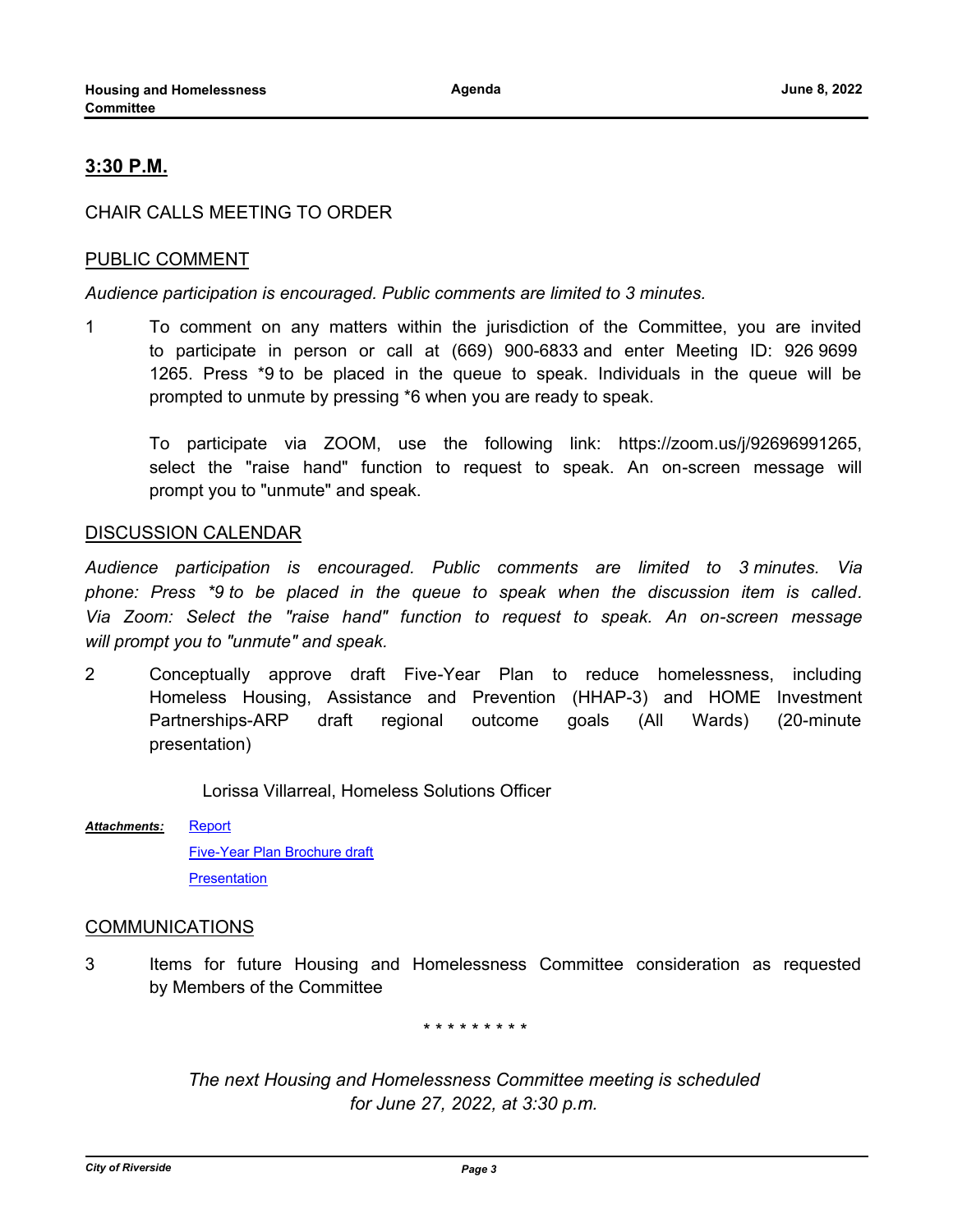## **3:30 P.M.**

### CHAIR CALLS MEETING TO ORDER

### PUBLIC COMMENT

*Audience participation is encouraged. Public comments are limited to 3 minutes.*

1 To comment on any matters within the jurisdiction of the Committee, you are invited to participate in person or call at (669) 900-6833 and enter Meeting ID: 926 9699 1265. Press \*9 to be placed in the queue to speak. Individuals in the queue will be prompted to unmute by pressing \*6 when you are ready to speak.

To participate via ZOOM, use the following link: https://zoom.us/j/92696991265, select the "raise hand" function to request to speak. An on-screen message will prompt you to "unmute" and speak.

#### DISCUSSION CALENDAR

*Audience participation is encouraged. Public comments are limited to 3 minutes. Via phone: Press \*9 to be placed in the queue to speak when the discussion item is called. Via Zoom: Select the "raise hand" function to request to speak. An on-screen message will prompt you to "unmute" and speak.*

2 Conceptually approve draft Five-Year Plan to reduce homelessness, including Homeless Housing, Assistance and Prevention (HHAP-3) and HOME Investment Partnerships-ARP draft regional outcome goals (All Wards) (20-minute presentation)

Lorissa Villarreal, Homeless Solutions Officer

[Report](http://riversideca.legistar.com/gateway.aspx?M=F&ID=db1f865e-6dfe-4718-b2c4-7dfdac319a43.docx) *Attachments:*

> [Five-Year Plan Brochure draft](http://riversideca.legistar.com/gateway.aspx?M=F&ID=3022db18-cdcf-439f-bd27-070a6fac0a60.pdf) **[Presentation](http://riversideca.legistar.com/gateway.aspx?M=F&ID=bfb9c3e4-52d1-44b8-a498-29be2304d2e4.pdf)**

#### COMMUNICATIONS

3 Items for future Housing and Homelessness Committee consideration as requested by Members of the Committee

*\* \* \* \* \* \* \* \* \**

*The next Housing and Homelessness Committee meeting is scheduled for June 27, 2022, at 3:30 p.m.*